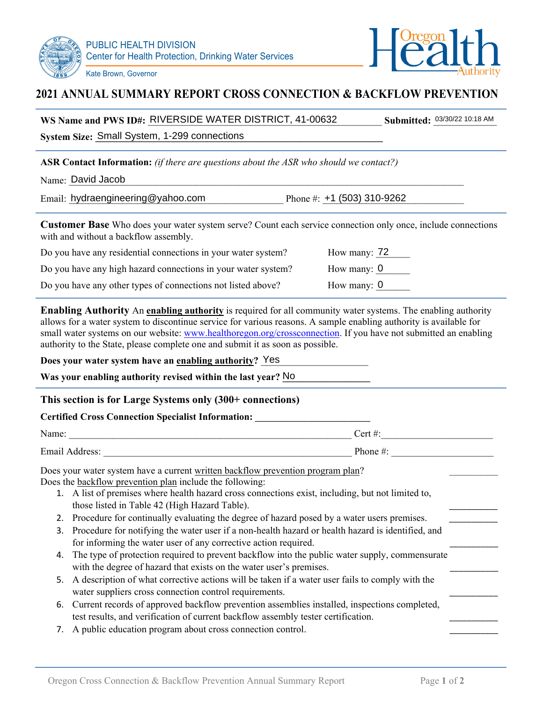



## **2021 ANNUAL SUMMARY REPORT CROSS CONNECTION & BACKFLOW PREVENTION**

| WS Name and PWS ID#: RIVERSIDE WATER DISTRICT, 41-00632                                                                                                                                                                                                                                                                                                                                                                                                                                           | Submitted: 03/30/22 10:18 AM |  |  |
|---------------------------------------------------------------------------------------------------------------------------------------------------------------------------------------------------------------------------------------------------------------------------------------------------------------------------------------------------------------------------------------------------------------------------------------------------------------------------------------------------|------------------------------|--|--|
| System Size: Small System, 1-299 connections                                                                                                                                                                                                                                                                                                                                                                                                                                                      |                              |  |  |
| ASR Contact Information: (if there are questions about the ASR who should we contact?)<br>Name: David Jacob                                                                                                                                                                                                                                                                                                                                                                                       |                              |  |  |
| Email: hydraengineering@yahoo.com Phone #: +1 (503) 310-9262                                                                                                                                                                                                                                                                                                                                                                                                                                      |                              |  |  |
| Customer Base Who does your water system serve? Count each service connection only once, include connections<br>with and without a backflow assembly.                                                                                                                                                                                                                                                                                                                                             |                              |  |  |
| Do you have any residential connections in your water system?                                                                                                                                                                                                                                                                                                                                                                                                                                     | How many: $72$               |  |  |
| Do you have any high hazard connections in your water system?                                                                                                                                                                                                                                                                                                                                                                                                                                     | How many: $\underline{0}$    |  |  |
| Do you have any other types of connections not listed above?                                                                                                                                                                                                                                                                                                                                                                                                                                      | How many: $0$                |  |  |
| Enabling Authority An enabling authority is required for all community water systems. The enabling authority<br>allows for a water system to discontinue service for various reasons. A sample enabling authority is available for<br>small water systems on our website: www.healthoregon.org/crossconnection. If you have not submitted an enabling<br>authority to the State, please complete one and submit it as soon as possible.<br>Does your water system have an enabling authority? Yes |                              |  |  |
| Was your enabling authority revised within the last year? No                                                                                                                                                                                                                                                                                                                                                                                                                                      |                              |  |  |
| This section is for Large Systems only (300+ connections)                                                                                                                                                                                                                                                                                                                                                                                                                                         |                              |  |  |
| <b>Certified Cross Connection Specialist Information:</b> _____________________________                                                                                                                                                                                                                                                                                                                                                                                                           |                              |  |  |
|                                                                                                                                                                                                                                                                                                                                                                                                                                                                                                   |                              |  |  |
|                                                                                                                                                                                                                                                                                                                                                                                                                                                                                                   |                              |  |  |
| Does your water system have a current written backflow prevention program plan?<br>Does the backflow prevention plan include the following:<br>1. A list of premises where health hazard cross connections exist, including, but not limited to,<br>those listed in Table 42 (High Hazard Table).                                                                                                                                                                                                 |                              |  |  |
| Procedure for continually evaluating the degree of hazard posed by a water users premises.<br>2.                                                                                                                                                                                                                                                                                                                                                                                                  |                              |  |  |
| Procedure for notifying the water user if a non-health hazard or health hazard is identified, and<br>3.                                                                                                                                                                                                                                                                                                                                                                                           |                              |  |  |
| for informing the water user of any corrective action required.<br>The type of protection required to prevent backflow into the public water supply, commensurate<br>4.<br>with the degree of hazard that exists on the water user's premises.                                                                                                                                                                                                                                                    |                              |  |  |
| A description of what corrective actions will be taken if a water user fails to comply with the<br>5.<br>water suppliers cross connection control requirements.                                                                                                                                                                                                                                                                                                                                   |                              |  |  |
| Current records of approved backflow prevention assemblies installed, inspections completed,<br>6.                                                                                                                                                                                                                                                                                                                                                                                                |                              |  |  |

- test results, and verification of current backflow assembly tester certification.
- 7. A public education program about cross connection control.